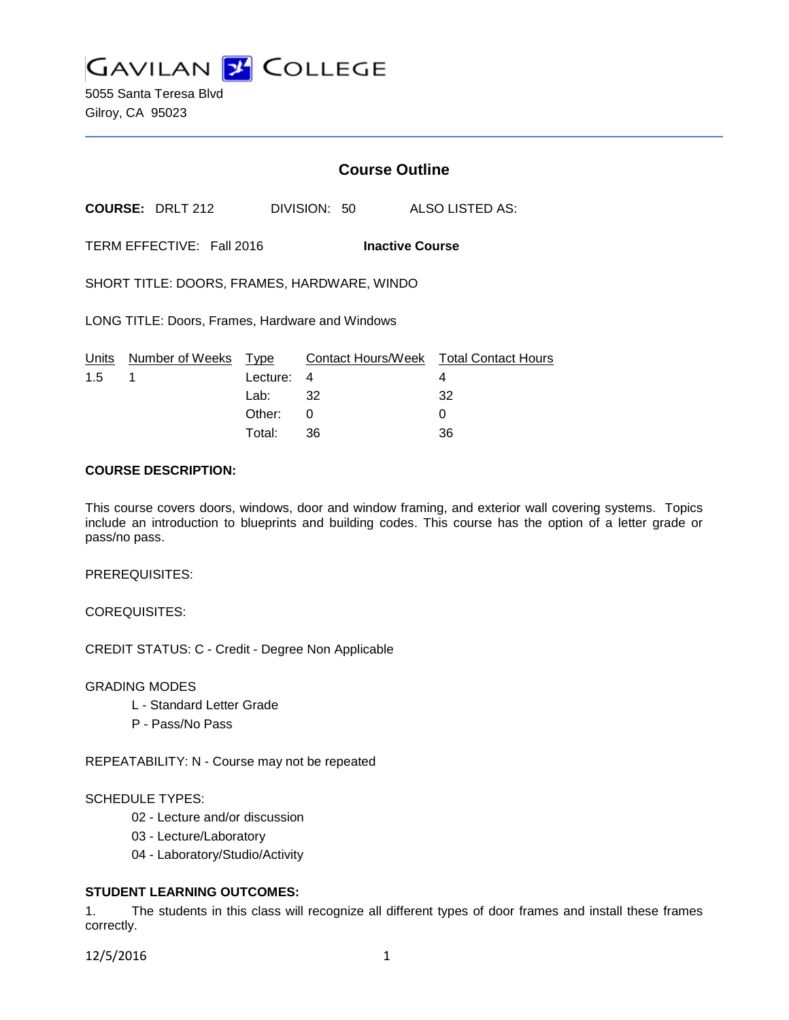**GAVILAN Z COLLEGE** 

5055 Santa Teresa Blvd Gilroy, CA 95023

# **Course Outline**

**COURSE:** DRLT 212 DIVISION: 50 ALSO LISTED AS:

TERM EFFECTIVE: Fall 2016 **Inactive Course**

SHORT TITLE: DOORS, FRAMES, HARDWARE, WINDO

LONG TITLE: Doors, Frames, Hardware and Windows

|               | Units Number of Weeks Type |            | Contact Hours/Week  Total Contact Hours |     |
|---------------|----------------------------|------------|-----------------------------------------|-----|
| $1.5 \quad 1$ |                            | Lecture: 4 |                                         |     |
|               |                            | Lab: _     | 32                                      | -32 |
|               |                            | Other:     |                                         |     |
|               |                            | Total:     | -36                                     | 36  |

## **COURSE DESCRIPTION:**

This course covers doors, windows, door and window framing, and exterior wall covering systems. Topics include an introduction to blueprints and building codes. This course has the option of a letter grade or pass/no pass.

PREREQUISITES:

COREQUISITES:

CREDIT STATUS: C - Credit - Degree Non Applicable

GRADING MODES

- L Standard Letter Grade
- P Pass/No Pass

REPEATABILITY: N - Course may not be repeated

#### SCHEDULE TYPES:

- 02 Lecture and/or discussion
- 03 Lecture/Laboratory
- 04 Laboratory/Studio/Activity

## **STUDENT LEARNING OUTCOMES:**

1. The students in this class will recognize all different types of door frames and install these frames correctly.

12/5/2016 1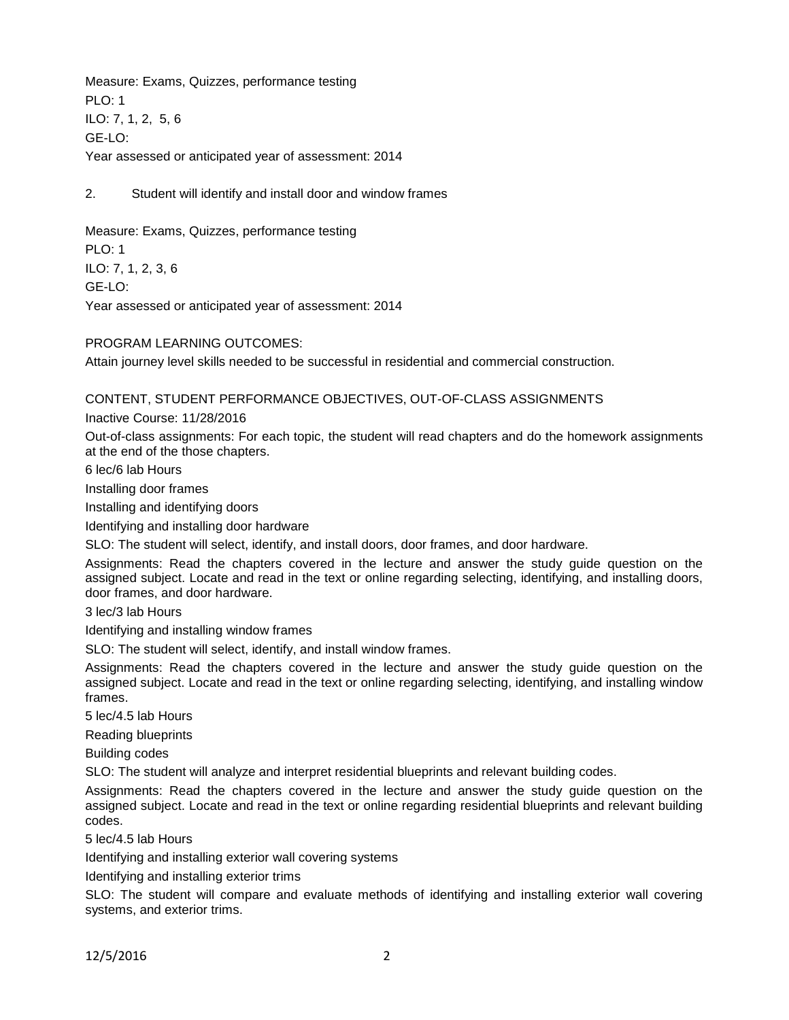Measure: Exams, Quizzes, performance testing PLO: 1 ILO: 7, 1, 2, 5, 6 GE-LO: Year assessed or anticipated year of assessment: 2014

2. Student will identify and install door and window frames

Measure: Exams, Quizzes, performance testing PLO: 1 ILO: 7, 1, 2, 3, 6 GE-LO: Year assessed or anticipated year of assessment: 2014

PROGRAM LEARNING OUTCOMES:

Attain journey level skills needed to be successful in residential and commercial construction.

CONTENT, STUDENT PERFORMANCE OBJECTIVES, OUT-OF-CLASS ASSIGNMENTS

Inactive Course: 11/28/2016

Out-of-class assignments: For each topic, the student will read chapters and do the homework assignments at the end of the those chapters.

6 lec/6 lab Hours

Installing door frames

Installing and identifying doors

Identifying and installing door hardware

SLO: The student will select, identify, and install doors, door frames, and door hardware.

Assignments: Read the chapters covered in the lecture and answer the study guide question on the assigned subject. Locate and read in the text or online regarding selecting, identifying, and installing doors, door frames, and door hardware.

3 lec/3 lab Hours

Identifying and installing window frames

SLO: The student will select, identify, and install window frames.

Assignments: Read the chapters covered in the lecture and answer the study guide question on the assigned subject. Locate and read in the text or online regarding selecting, identifying, and installing window frames.

5 lec/4.5 lab Hours

Reading blueprints

Building codes

SLO: The student will analyze and interpret residential blueprints and relevant building codes.

Assignments: Read the chapters covered in the lecture and answer the study guide question on the assigned subject. Locate and read in the text or online regarding residential blueprints and relevant building codes.

5 lec/4.5 lab Hours

Identifying and installing exterior wall covering systems

Identifying and installing exterior trims

SLO: The student will compare and evaluate methods of identifying and installing exterior wall covering systems, and exterior trims.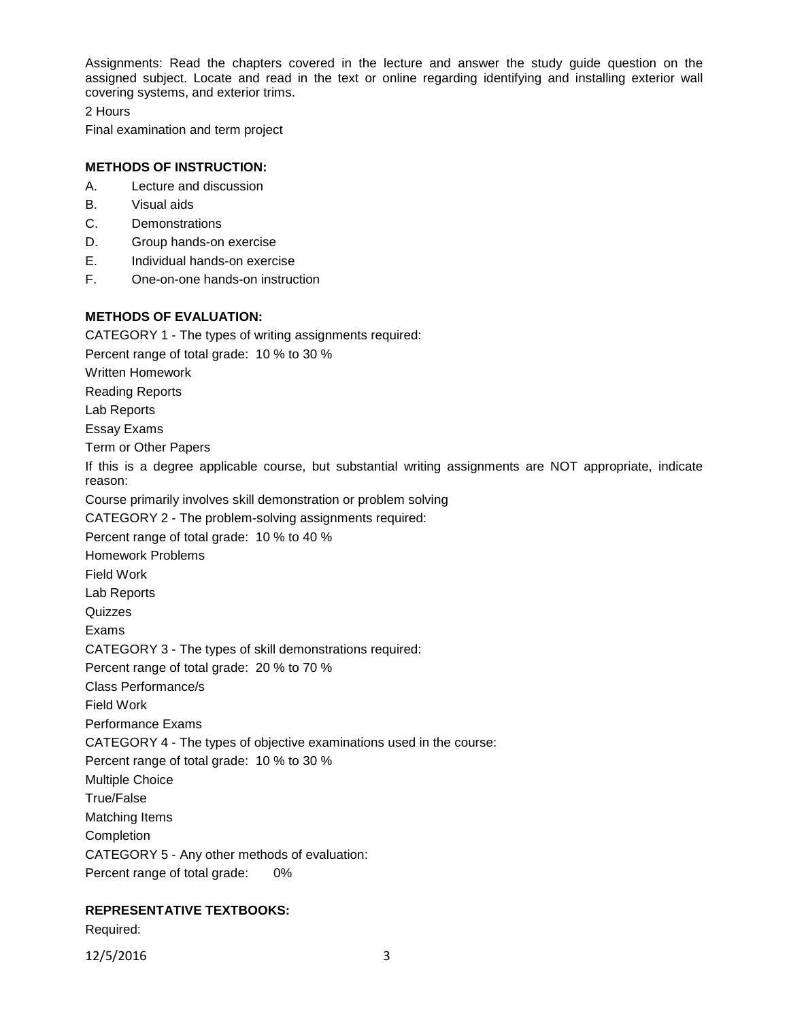Assignments: Read the chapters covered in the lecture and answer the study guide question on the assigned subject. Locate and read in the text or online regarding identifying and installing exterior wall covering systems, and exterior trims.

2 Hours

Final examination and term project

## **METHODS OF INSTRUCTION:**

- A. Lecture and discussion
- B. Visual aids
- C. Demonstrations
- D. Group hands-on exercise
- E. Individual hands-on exercise
- F. One-on-one hands-on instruction

## **METHODS OF EVALUATION:**

CATEGORY 1 - The types of writing assignments required: Percent range of total grade: 10 % to 30 % Written Homework Reading Reports Lab Reports Essay Exams Term or Other Papers If this is a degree applicable course, but substantial writing assignments are NOT appropriate, indicate reason: Course primarily involves skill demonstration or problem solving CATEGORY 2 - The problem-solving assignments required: Percent range of total grade: 10 % to 40 % Homework Problems Field Work Lab Reports **Quizzes** Exams CATEGORY 3 - The types of skill demonstrations required: Percent range of total grade: 20 % to 70 % Class Performance/s Field Work Performance Exams CATEGORY 4 - The types of objective examinations used in the course: Percent range of total grade: 10 % to 30 % Multiple Choice True/False Matching Items Completion CATEGORY 5 - Any other methods of evaluation: Percent range of total grade: 0%

## **REPRESENTATIVE TEXTBOOKS:**

Required:

12/5/2016 3